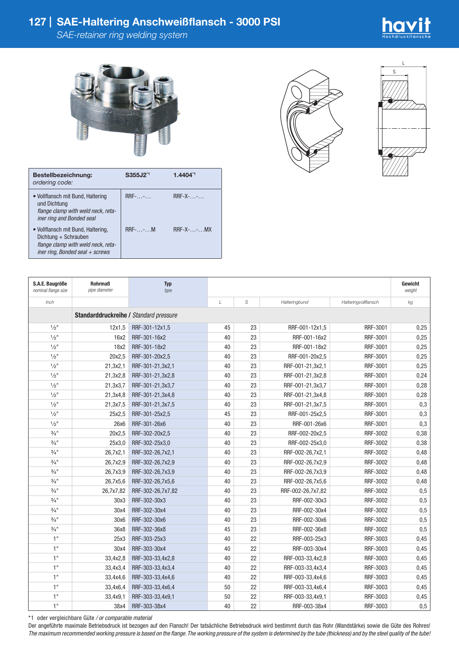

| Bestellbezeichnung:<br>ordering code:                                                                                                 | S355J2 <sup>*1</sup> | 1.4404*1              |
|---------------------------------------------------------------------------------------------------------------------------------------|----------------------|-----------------------|
| • Vollflansch mit Bund, Haltering<br>und Dichtung<br>flange clamp with weld neck, reta-<br>iner ring and Bonded seal                  | $RRF$ - $$ - $$      | $RRF-X$ -             |
| • Vollflansch mit Bund, Haltering,<br>Dichtung + Schrauben<br>flange clamp with weld neck, reta-<br>iner ring, Bonded seal $+$ screws | $RRF$ -- $M$         | $RRF-X$ - $\ldots$ MX |





| S.A.E. Baugröße<br>nominal flange size | <b>Rohrmaß</b><br>pipe diameter | <b>Typ</b><br>type |    |    |                   |                      | Gewicht<br>weight |  |
|----------------------------------------|---------------------------------|--------------------|----|----|-------------------|----------------------|-------------------|--|
| Inch                                   |                                 |                    | L  | S  | Halteringbund     | Halteringvollflansch | kg                |  |
| Standarddruckreihe / Standard pressure |                                 |                    |    |    |                   |                      |                   |  |
| $1/2$ <sup>11</sup>                    | 12x1.5                          | RRF-301-12x1,5     | 45 | 23 | RRF-001-12x1,5    | RRF-3001             | 0,25              |  |
| $1/2$ <sup>11</sup>                    | 16x2                            | RRF-301-16x2       | 40 | 23 | RRF-001-16x2      | RRF-3001             | 0,25              |  |
| $1/2$ <sup>11</sup>                    | 18x2                            | RRF-301-18x2       | 40 | 23 | RRF-001-18x2      | RRF-3001             | 0,25              |  |
| $1/2$ <sup>11</sup>                    | 20x2,5                          | RRF-301-20x2,5     | 40 | 23 | RRF-001-20x2,5    | RRF-3001             | 0,25              |  |
| $1/2$ <sup>11</sup>                    | 21,3x2,1                        | RRF-301-21,3x2,1   | 40 | 23 | RRF-001-21,3x2,1  | RRF-3001             | 0,25              |  |
| $1/2$ <sup>11</sup>                    | 21,3x2,8                        | RRF-301-21,3x2,8   | 40 | 23 | RRF-001-21,3x2,8  | RRF-3001             | 0,24              |  |
| $1/2$ <sup>11</sup>                    | 21,3x3,7                        | RRF-301-21,3x3,7   | 40 | 23 | RRF-001-21,3x3,7  | RRF-3001             | 0,28              |  |
| $1/2$ <sup>11</sup>                    | 21,3x4,8                        | RRF-301-21,3x4,8   | 40 | 23 | RRF-001-21,3x4,8  | RRF-3001             | 0,28              |  |
| $1/2$ <sup>11</sup>                    | 21,3x7,5                        | RRF-301-21,3x7,5   | 40 | 23 | RRF-001-21,3x7,5  | RRF-3001             | 0,3               |  |
| $1/2$ <sup>11</sup>                    | 25x2,5                          | RRF-301-25x2,5     | 45 | 23 | RRF-001-25x2,5    | RRF-3001             | 0,3               |  |
| $1/2$ <sup>11</sup>                    | 26x6                            | RRF-301-26x6       | 40 | 23 | RRF-001-26x6      | RRF-3001             | 0,3               |  |
| $\frac{3}{4}$ "                        | 20x2,5                          | RRF-302-20x2,5     | 40 | 23 | RRF-002-20x2,5    | RRF-3002             | 0,38              |  |
| $3/4$ <sup>11</sup>                    | 25x3,0                          | RRF-302-25x3,0     | 40 | 23 | RRF-002-25x3,0    | RRF-3002             | 0,38              |  |
| $3/4$ <sup>11</sup>                    | 26,7x2,1                        | RRF-302-26,7x2,1   | 40 | 23 | RRF-002-26,7x2,1  | RRF-3002             | 0,48              |  |
| $3/4$ <sup>11</sup>                    | 26,7x2,9                        | RRF-302-26,7x2,9   | 40 | 23 | RRF-002-26,7x2,9  | RRF-3002             | 0,48              |  |
| $\frac{3}{4}$ "                        | 26,7x3,9                        | RRF-302-26,7x3,9   | 40 | 23 | RRF-002-26,7x3,9  | RRF-3002             | 0,48              |  |
| $\frac{3}{4}$ "                        | 26,7x5,6                        | RRF-302-26,7x5,6   | 40 | 23 | RRF-002-26,7x5,6  | RRF-3002             | 0,48              |  |
| $\frac{3}{4}$ "                        | 26,7x7,82                       | RRF-302-26,7x7,82  | 40 | 23 | RRF-002-26,7x7,82 | RRF-3002             | 0,5               |  |
| $3/4$ <sup>11</sup>                    | 30x3                            | RRF-302-30x3       | 40 | 23 | RRF-002-30x3      | RRF-3002             | 0,5               |  |
| $3/4$ <sup>11</sup>                    | 30x4                            | RRF-302-30x4       | 40 | 23 | RRF-002-30x4      | RRF-3002             | 0,5               |  |
| $3/4$ <sup>11</sup>                    | 30x6                            | RRF-302-30x6       | 40 | 23 | RRF-002-30x6      | RRF-3002             | 0,5               |  |
| $3/4$ <sup>11</sup>                    | 36x8                            | RRF-302-36x8       | 45 | 23 | RRF-002-36x8      | RRF-3002             | 0,5               |  |
| 1"                                     | 25x3                            | RRF-303-25x3       | 40 | 22 | RRF-003-25x3      | RRF-3003             | 0,45              |  |
| 1"                                     | 30x4                            | RRF-303-30x4       | 40 | 22 | RRF-003-30x4      | RRF-3003             | 0,45              |  |
| 1"                                     | 33,4x2,8                        | RRF-303-33,4x2,8   | 40 | 22 | RRF-003-33,4x2,8  | RRF-3003             | 0,45              |  |
| 1"                                     | 33,4x3,4                        | RRF-303-33,4x3,4   | 40 | 22 | RRF-003-33,4x3,4  | RRF-3003             | 0,45              |  |
| 1"                                     | 33,4x4,6                        | RRF-303-33,4x4,6   | 40 | 22 | RRF-003-33,4x4,6  | RRF-3003             | 0,45              |  |
| 1"                                     | 33,4x6,4                        | RRF-303-33,4x6,4   | 50 | 22 | RRF-003-33,4x6,4  | RRF-3003             | 0,45              |  |
| 1"                                     | 33,4x9,1                        | RRF-303-33,4x9,1   | 50 | 22 | RRF-003-33,4x9,1  | RRF-3003             | 0,45              |  |
| 1"                                     | 38x4                            | RRF-303-38x4       | 40 | 22 | RRF-003-38x4      | RRF-3003             | 0,5               |  |

\*1 oder vergleichbare Güte */ or comparable material*

Der angeführte maximale Betriebsdruck ist bezogen auf den Flansch! Der tatsächliche Betriebsdruck wird bestimmt durch das Rohr (Wandstärke) sowie die Güte des Rohres! *The maximum recommended working pressure is based on the flange. The working pressure of the system is determined by the tube (thickness) and by the steel quality of the tube!*